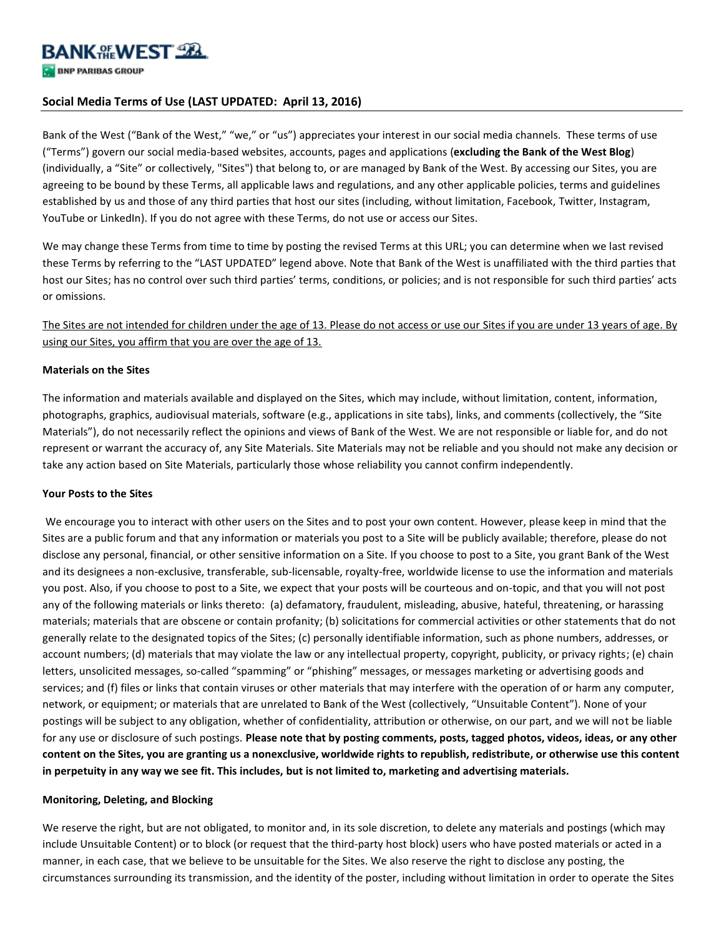# **Social Media Terms of Use (LAST UPDATED: April 13, 2016)**

Bank of the West ("Bank of the West," "we," or "us") appreciates your interest in our social media channels. These terms of use ("Terms") govern our social media-based websites, accounts, pages and applications (**excluding the Bank of the West Blog**) (individually, a "Site" or collectively, "Sites") that belong to, or are managed by Bank of the West. By accessing our Sites, you are agreeing to be bound by these Terms, all applicable laws and regulations, and any other applicable policies, terms and guidelines established by us and those of any third parties that host our sites (including, without limitation, Facebook, Twitter, Instagram, YouTube or LinkedIn). If you do not agree with these Terms, do not use or access our Sites.

We may change these Terms from time to time by posting the revised Terms at this URL; you can determine when we last revised these Terms by referring to the "LAST UPDATED" legend above. Note that Bank of the West is unaffiliated with the third parties that host our Sites; has no control over such third parties' terms, conditions, or policies; and is not responsible for such third parties' acts or omissions.

The Sites are not intended for children under the age of 13. Please do not access or use our Sites if you are under 13 years of age. By using our Sites, you affirm that you are over the age of 13.

#### **Materials on the Sites**

The information and materials available and displayed on the Sites, which may include, without limitation, content, information, photographs, graphics, audiovisual materials, software (e.g., applications in site tabs), links, and comments (collectively, the "Site Materials"), do not necessarily reflect the opinions and views of Bank of the West. We are not responsible or liable for, and do not represent or warrant the accuracy of, any Site Materials. Site Materials may not be reliable and you should not make any decision or take any action based on Site Materials, particularly those whose reliability you cannot confirm independently.

#### **Your Posts to the Sites**

We encourage you to interact with other users on the Sites and to post your own content. However, please keep in mind that the Sites are a public forum and that any information or materials you post to a Site will be publicly available; therefore, please do not disclose any personal, financial, or other sensitive information on a Site. If you choose to post to a Site, you grant Bank of the West and its designees a non-exclusive, transferable, sub-licensable, royalty-free, worldwide license to use the information and materials you post. Also, if you choose to post to a Site, we expect that your posts will be courteous and on-topic, and that you will not post any of the following materials or links thereto: (a) defamatory, fraudulent, misleading, abusive, hateful, threatening, or harassing materials; materials that are obscene or contain profanity; (b) solicitations for commercial activities or other statements that do not generally relate to the designated topics of the Sites; (c) personally identifiable information, such as phone numbers, addresses, or account numbers; (d) materials that may violate the law or any intellectual property, copyright, publicity, or privacy rights; (e) chain letters, unsolicited messages, so-called "spamming" or "phishing" messages, or messages marketing or advertising goods and services; and (f) files or links that contain viruses or other materials that may interfere with the operation of or harm any computer, network, or equipment; or materials that are unrelated to Bank of the West (collectively, "Unsuitable Content"). None of your postings will be subject to any obligation, whether of confidentiality, attribution or otherwise, on our part, and we will not be liable for any use or disclosure of such postings. **Please note that by posting comments, posts, tagged photos, videos, ideas, or any other content on the Sites, you are granting us a nonexclusive, worldwide rights to republish, redistribute, or otherwise use this content in perpetuity in any way we see fit. This includes, but is not limited to, marketing and advertising materials.**

#### **Monitoring, Deleting, and Blocking**

We reserve the right, but are not obligated, to monitor and, in its sole discretion, to delete any materials and postings (which may include Unsuitable Content) or to block (or request that the third-party host block) users who have posted materials or acted in a manner, in each case, that we believe to be unsuitable for the Sites. We also reserve the right to disclose any posting, the circumstances surrounding its transmission, and the identity of the poster, including without limitation in order to operate the Sites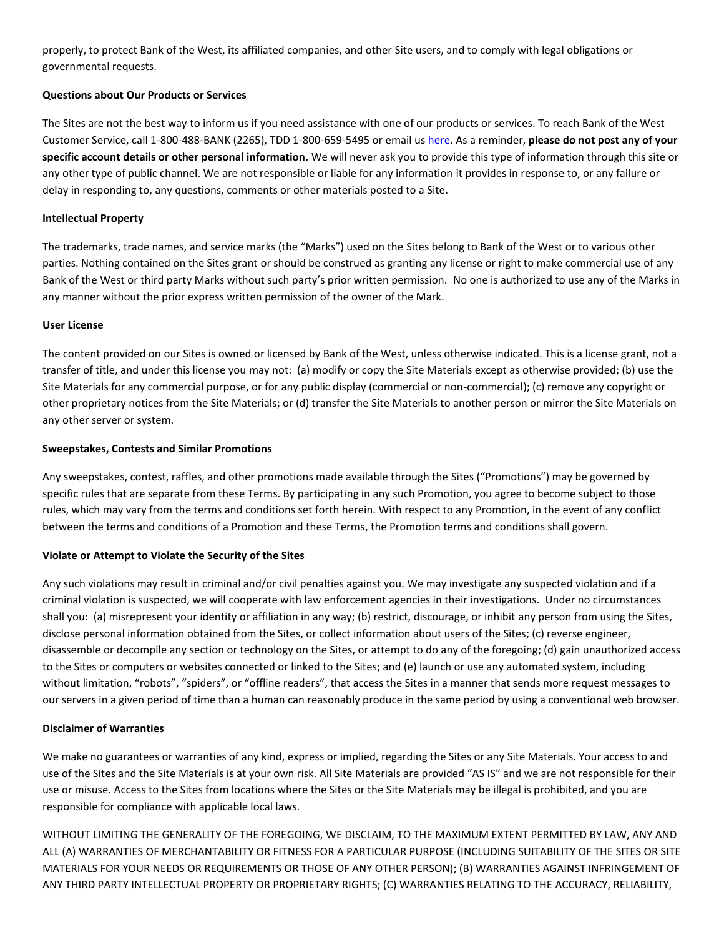properly, to protect Bank of the West, its affiliated companies, and other Site users, and to comply with legal obligations or governmental requests.

## **Questions about Our Products or Services**

The Sites are not the best way to inform us if you need assistance with one of our products or services. To reach Bank of the West Customer Service, call 1-800-488-BANK (2265), TDD 1-800-659-5495 or email us [here.](https://www.bankofthewest.com/customer-service/contact-personal/email-personal.html) As a reminder, **please do not post any of your specific account details or other personal information.** We will never ask you to provide this type of information through this site or any other type of public channel. We are not responsible or liable for any information it provides in response to, or any failure or delay in responding to, any questions, comments or other materials posted to a Site.

## **Intellectual Property**

The trademarks, trade names, and service marks (the "Marks") used on the Sites belong to Bank of the West or to various other parties. Nothing contained on the Sites grant or should be construed as granting any license or right to make commercial use of any Bank of the West or third party Marks without such party's prior written permission. No one is authorized to use any of the Marks in any manner without the prior express written permission of the owner of the Mark.

## **User License**

The content provided on our Sites is owned or licensed by Bank of the West, unless otherwise indicated. This is a license grant, not a transfer of title, and under this license you may not: (a) modify or copy the Site Materials except as otherwise provided; (b) use the Site Materials for any commercial purpose, or for any public display (commercial or non-commercial); (c) remove any copyright or other proprietary notices from the Site Materials; or (d) transfer the Site Materials to another person or mirror the Site Materials on any other server or system.

# **Sweepstakes, Contests and Similar Promotions**

Any sweepstakes, contest, raffles, and other promotions made available through the Sites ("Promotions") may be governed by specific rules that are separate from these Terms. By participating in any such Promotion, you agree to become subject to those rules, which may vary from the terms and conditions set forth herein. With respect to any Promotion, in the event of any conflict between the terms and conditions of a Promotion and these Terms, the Promotion terms and conditions shall govern.

## **Violate or Attempt to Violate the Security of the Sites**

Any such violations may result in criminal and/or civil penalties against you. We may investigate any suspected violation and if a criminal violation is suspected, we will cooperate with law enforcement agencies in their investigations. Under no circumstances shall you: (a) misrepresent your identity or affiliation in any way; (b) restrict, discourage, or inhibit any person from using the Sites, disclose personal information obtained from the Sites, or collect information about users of the Sites; (c) reverse engineer, disassemble or decompile any section or technology on the Sites, or attempt to do any of the foregoing; (d) gain unauthorized access to the Sites or computers or websites connected or linked to the Sites; and (e) launch or use any automated system, including without limitation, "robots", "spiders", or "offline readers", that access the Sites in a manner that sends more request messages to our servers in a given period of time than a human can reasonably produce in the same period by using a conventional web browser.

## **Disclaimer of Warranties**

We make no guarantees or warranties of any kind, express or implied, regarding the Sites or any Site Materials. Your access to and use of the Sites and the Site Materials is at your own risk. All Site Materials are provided "AS IS" and we are not responsible for their use or misuse. Access to the Sites from locations where the Sites or the Site Materials may be illegal is prohibited, and you are responsible for compliance with applicable local laws.

WITHOUT LIMITING THE GENERALITY OF THE FOREGOING, WE DISCLAIM, TO THE MAXIMUM EXTENT PERMITTED BY LAW, ANY AND ALL (A) WARRANTIES OF MERCHANTABILITY OR FITNESS FOR A PARTICULAR PURPOSE (INCLUDING SUITABILITY OF THE SITES OR SITE MATERIALS FOR YOUR NEEDS OR REQUIREMENTS OR THOSE OF ANY OTHER PERSON); (B) WARRANTIES AGAINST INFRINGEMENT OF ANY THIRD PARTY INTELLECTUAL PROPERTY OR PROPRIETARY RIGHTS; (C) WARRANTIES RELATING TO THE ACCURACY, RELIABILITY,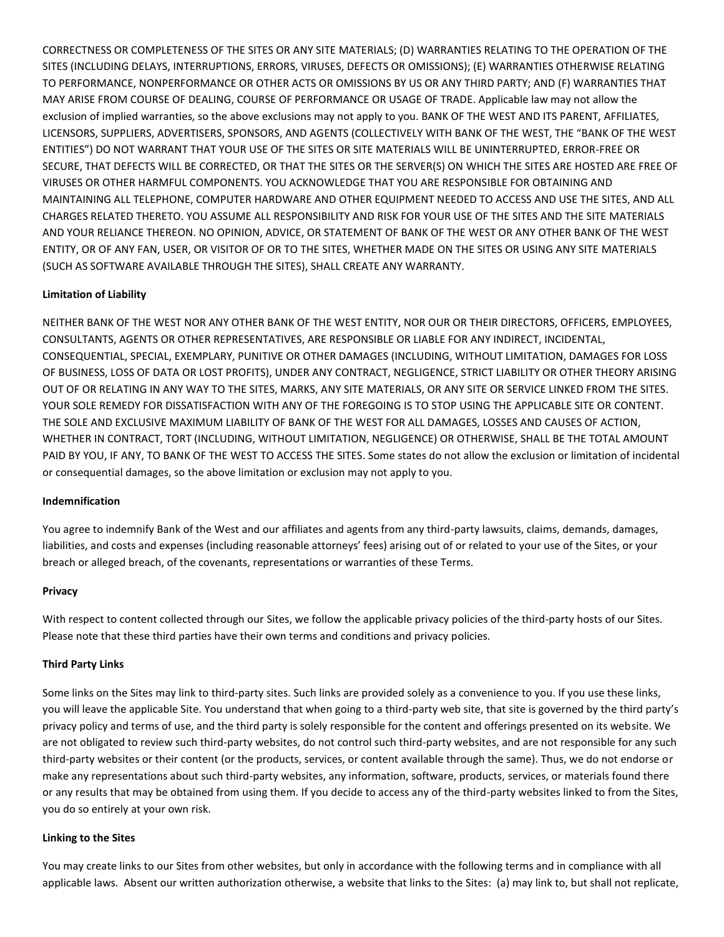CORRECTNESS OR COMPLETENESS OF THE SITES OR ANY SITE MATERIALS; (D) WARRANTIES RELATING TO THE OPERATION OF THE SITES (INCLUDING DELAYS, INTERRUPTIONS, ERRORS, VIRUSES, DEFECTS OR OMISSIONS); (E) WARRANTIES OTHERWISE RELATING TO PERFORMANCE, NONPERFORMANCE OR OTHER ACTS OR OMISSIONS BY US OR ANY THIRD PARTY; AND (F) WARRANTIES THAT MAY ARISE FROM COURSE OF DEALING, COURSE OF PERFORMANCE OR USAGE OF TRADE. Applicable law may not allow the exclusion of implied warranties, so the above exclusions may not apply to you. BANK OF THE WEST AND ITS PARENT, AFFILIATES, LICENSORS, SUPPLIERS, ADVERTISERS, SPONSORS, AND AGENTS (COLLECTIVELY WITH BANK OF THE WEST, THE "BANK OF THE WEST ENTITIES") DO NOT WARRANT THAT YOUR USE OF THE SITES OR SITE MATERIALS WILL BE UNINTERRUPTED, ERROR-FREE OR SECURE, THAT DEFECTS WILL BE CORRECTED, OR THAT THE SITES OR THE SERVER(S) ON WHICH THE SITES ARE HOSTED ARE FREE OF VIRUSES OR OTHER HARMFUL COMPONENTS. YOU ACKNOWLEDGE THAT YOU ARE RESPONSIBLE FOR OBTAINING AND MAINTAINING ALL TELEPHONE, COMPUTER HARDWARE AND OTHER EQUIPMENT NEEDED TO ACCESS AND USE THE SITES, AND ALL CHARGES RELATED THERETO. YOU ASSUME ALL RESPONSIBILITY AND RISK FOR YOUR USE OF THE SITES AND THE SITE MATERIALS AND YOUR RELIANCE THEREON. NO OPINION, ADVICE, OR STATEMENT OF BANK OF THE WEST OR ANY OTHER BANK OF THE WEST ENTITY, OR OF ANY FAN, USER, OR VISITOR OF OR TO THE SITES, WHETHER MADE ON THE SITES OR USING ANY SITE MATERIALS (SUCH AS SOFTWARE AVAILABLE THROUGH THE SITES), SHALL CREATE ANY WARRANTY.

# **Limitation of Liability**

NEITHER BANK OF THE WEST NOR ANY OTHER BANK OF THE WEST ENTITY, NOR OUR OR THEIR DIRECTORS, OFFICERS, EMPLOYEES, CONSULTANTS, AGENTS OR OTHER REPRESENTATIVES, ARE RESPONSIBLE OR LIABLE FOR ANY INDIRECT, INCIDENTAL, CONSEQUENTIAL, SPECIAL, EXEMPLARY, PUNITIVE OR OTHER DAMAGES (INCLUDING, WITHOUT LIMITATION, DAMAGES FOR LOSS OF BUSINESS, LOSS OF DATA OR LOST PROFITS), UNDER ANY CONTRACT, NEGLIGENCE, STRICT LIABILITY OR OTHER THEORY ARISING OUT OF OR RELATING IN ANY WAY TO THE SITES, MARKS, ANY SITE MATERIALS, OR ANY SITE OR SERVICE LINKED FROM THE SITES. YOUR SOLE REMEDY FOR DISSATISFACTION WITH ANY OF THE FOREGOING IS TO STOP USING THE APPLICABLE SITE OR CONTENT. THE SOLE AND EXCLUSIVE MAXIMUM LIABILITY OF BANK OF THE WEST FOR ALL DAMAGES, LOSSES AND CAUSES OF ACTION, WHETHER IN CONTRACT, TORT (INCLUDING, WITHOUT LIMITATION, NEGLIGENCE) OR OTHERWISE, SHALL BE THE TOTAL AMOUNT PAID BY YOU, IF ANY, TO BANK OF THE WEST TO ACCESS THE SITES. Some states do not allow the exclusion or limitation of incidental or consequential damages, so the above limitation or exclusion may not apply to you.

## **Indemnification**

You agree to indemnify Bank of the West and our affiliates and agents from any third-party lawsuits, claims, demands, damages, liabilities, and costs and expenses (including reasonable attorneys' fees) arising out of or related to your use of the Sites, or your breach or alleged breach, of the covenants, representations or warranties of these Terms.

## **Privacy**

With respect to content collected through our Sites, we follow the applicable privacy policies of the third-party hosts of our Sites. Please note that these third parties have their own terms and conditions and privacy policies.

## **Third Party Links**

Some links on the Sites may link to third-party sites. Such links are provided solely as a convenience to you. If you use these links, you will leave the applicable Site. You understand that when going to a third-party web site, that site is governed by the third party's privacy policy and terms of use, and the third party is solely responsible for the content and offerings presented on its website. We are not obligated to review such third-party websites, do not control such third-party websites, and are not responsible for any such third-party websites or their content (or the products, services, or content available through the same). Thus, we do not endorse or make any representations about such third-party websites, any information, software, products, services, or materials found there or any results that may be obtained from using them. If you decide to access any of the third-party websites linked to from the Sites, you do so entirely at your own risk.

## **Linking to the Sites**

You may create links to our Sites from other websites, but only in accordance with the following terms and in compliance with all applicable laws. Absent our written authorization otherwise, a website that links to the Sites: (a) may link to, but shall not replicate,